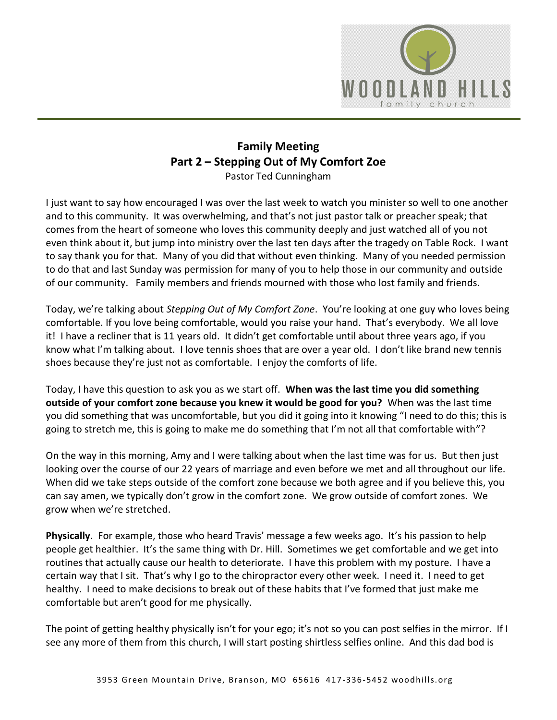

## **Family Meeting Part 2 – Stepping Out of My Comfort Zoe** Pastor Ted Cunningham

I just want to say how encouraged I was over the last week to watch you minister so well to one another and to this community. It was overwhelming, and that's not just pastor talk or preacher speak; that comes from the heart of someone who loves this community deeply and just watched all of you not even think about it, but jump into ministry over the last ten days after the tragedy on Table Rock. I want to say thank you for that. Many of you did that without even thinking. Many of you needed permission to do that and last Sunday was permission for many of you to help those in our community and outside of our community. Family members and friends mourned with those who lost family and friends.

Today, we're talking about *Stepping Out of My Comfort Zone*. You're looking at one guy who loves being comfortable. If you love being comfortable, would you raise your hand. That's everybody. We all love it! I have a recliner that is 11 years old. It didn't get comfortable until about three years ago, if you know what I'm talking about. I love tennis shoes that are over a year old. I don't like brand new tennis shoes because they're just not as comfortable. I enjoy the comforts of life.

Today, I have this question to ask you as we start off. **When was the last time you did something outside of your comfort zone because you knew it would be good for you?** When was the last time you did something that was uncomfortable, but you did it going into it knowing "I need to do this; this is going to stretch me, this is going to make me do something that I'm not all that comfortable with"?

On the way in this morning, Amy and I were talking about when the last time was for us. But then just looking over the course of our 22 years of marriage and even before we met and all throughout our life. When did we take steps outside of the comfort zone because we both agree and if you believe this, you can say amen, we typically don't grow in the comfort zone. We grow outside of comfort zones. We grow when we're stretched.

**Physically**. For example, those who heard Travis' message a few weeks ago. It's his passion to help people get healthier. It's the same thing with Dr. Hill. Sometimes we get comfortable and we get into routines that actually cause our health to deteriorate. I have this problem with my posture. I have a certain way that I sit. That's why I go to the chiropractor every other week. I need it. I need to get healthy. I need to make decisions to break out of these habits that I've formed that just make me comfortable but aren't good for me physically.

The point of getting healthy physically isn't for your ego; it's not so you can post selfies in the mirror. If I see any more of them from this church, I will start posting shirtless selfies online. And this dad bod is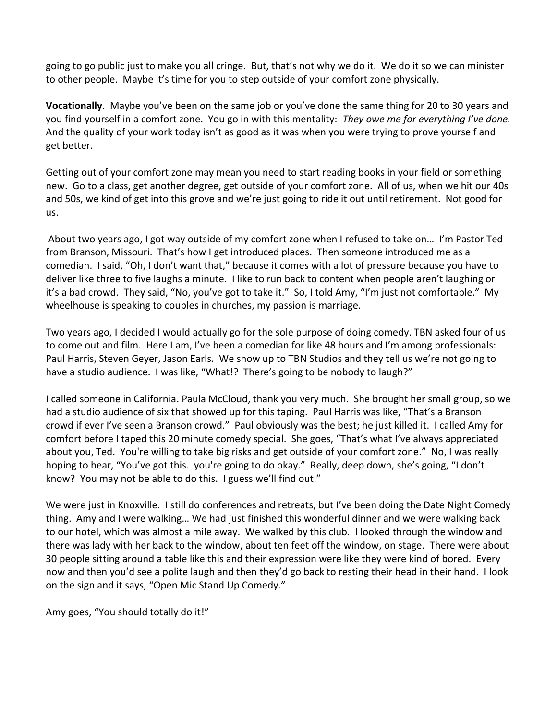going to go public just to make you all cringe. But, that's not why we do it. We do it so we can minister to other people. Maybe it's time for you to step outside of your comfort zone physically.

**Vocationally**. Maybe you've been on the same job or you've done the same thing for 20 to 30 years and you find yourself in a comfort zone. You go in with this mentality: *They owe me for everything I've done.* And the quality of your work today isn't as good as it was when you were trying to prove yourself and get better.

Getting out of your comfort zone may mean you need to start reading books in your field or something new. Go to a class, get another degree, get outside of your comfort zone. All of us, when we hit our 40s and 50s, we kind of get into this grove and we're just going to ride it out until retirement. Not good for us.

 About two years ago, I got way outside of my comfort zone when I refused to take on… I'm Pastor Ted from Branson, Missouri. That's how I get introduced places. Then someone introduced me as a comedian. I said, "Oh, I don't want that," because it comes with a lot of pressure because you have to deliver like three to five laughs a minute. I like to run back to content when people aren't laughing or it's a bad crowd. They said, "No, you've got to take it." So, I told Amy, "I'm just not comfortable." My wheelhouse is speaking to couples in churches, my passion is marriage.

Two years ago, I decided I would actually go for the sole purpose of doing comedy. TBN asked four of us to come out and film. Here I am, I've been a comedian for like 48 hours and I'm among professionals: Paul Harris, Steven Geyer, Jason Earls. We show up to TBN Studios and they tell us we're not going to have a studio audience. I was like, "What!? There's going to be nobody to laugh?"

I called someone in California. Paula McCloud, thank you very much. She brought her small group, so we had a studio audience of six that showed up for this taping. Paul Harris was like, "That's a Branson crowd if ever I've seen a Branson crowd." Paul obviously was the best; he just killed it. I called Amy for comfort before I taped this 20 minute comedy special. She goes, "That's what I've always appreciated about you, Ted. You're willing to take big risks and get outside of your comfort zone." No, I was really hoping to hear, "You've got this. you're going to do okay." Really, deep down, she's going, "I don't know? You may not be able to do this. I guess we'll find out."

We were just in Knoxville. I still do conferences and retreats, but I've been doing the Date Night Comedy thing. Amy and I were walking… We had just finished this wonderful dinner and we were walking back to our hotel, which was almost a mile away. We walked by this club. I looked through the window and there was lady with her back to the window, about ten feet off the window, on stage. There were about 30 people sitting around a table like this and their expression were like they were kind of bored. Every now and then you'd see a polite laugh and then they'd go back to resting their head in their hand. I look on the sign and it says, "Open Mic Stand Up Comedy."

Amy goes, "You should totally do it!"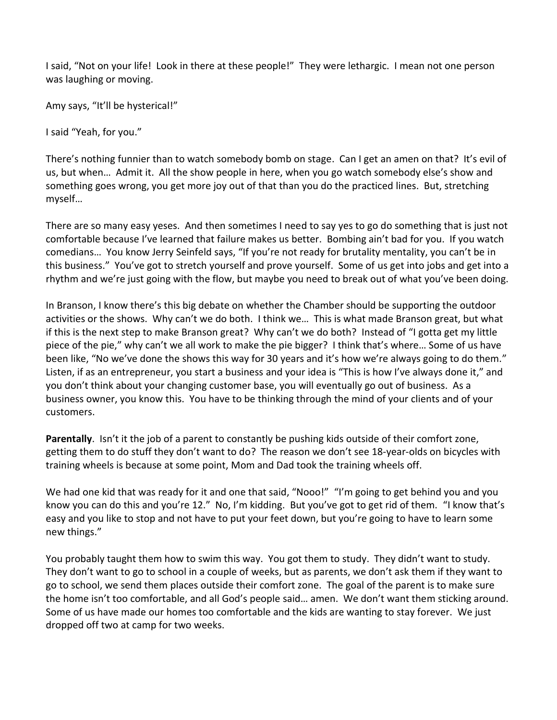I said, "Not on your life! Look in there at these people!" They were lethargic. I mean not one person was laughing or moving.

Amy says, "It'll be hysterical!"

I said "Yeah, for you."

There's nothing funnier than to watch somebody bomb on stage. Can I get an amen on that? It's evil of us, but when… Admit it. All the show people in here, when you go watch somebody else's show and something goes wrong, you get more joy out of that than you do the practiced lines. But, stretching myself…

There are so many easy yeses. And then sometimes I need to say yes to go do something that is just not comfortable because I've learned that failure makes us better. Bombing ain't bad for you. If you watch comedians… You know Jerry Seinfeld says, "If you're not ready for brutality mentality, you can't be in this business." You've got to stretch yourself and prove yourself. Some of us get into jobs and get into a rhythm and we're just going with the flow, but maybe you need to break out of what you've been doing.

In Branson, I know there's this big debate on whether the Chamber should be supporting the outdoor activities or the shows. Why can't we do both. I think we… This is what made Branson great, but what if this is the next step to make Branson great? Why can't we do both? Instead of "I gotta get my little piece of the pie," why can't we all work to make the pie bigger? I think that's where… Some of us have been like, "No we've done the shows this way for 30 years and it's how we're always going to do them." Listen, if as an entrepreneur, you start a business and your idea is "This is how I've always done it," and you don't think about your changing customer base, you will eventually go out of business. As a business owner, you know this. You have to be thinking through the mind of your clients and of your customers.

**Parentally**. Isn't it the job of a parent to constantly be pushing kids outside of their comfort zone, getting them to do stuff they don't want to do? The reason we don't see 18-year-olds on bicycles with training wheels is because at some point, Mom and Dad took the training wheels off.

We had one kid that was ready for it and one that said, "Nooo!" "I'm going to get behind you and you know you can do this and you're 12." No, I'm kidding. But you've got to get rid of them. "I know that's easy and you like to stop and not have to put your feet down, but you're going to have to learn some new things."

You probably taught them how to swim this way. You got them to study. They didn't want to study. They don't want to go to school in a couple of weeks, but as parents, we don't ask them if they want to go to school, we send them places outside their comfort zone. The goal of the parent is to make sure the home isn't too comfortable, and all God's people said… amen. We don't want them sticking around. Some of us have made our homes too comfortable and the kids are wanting to stay forever. We just dropped off two at camp for two weeks.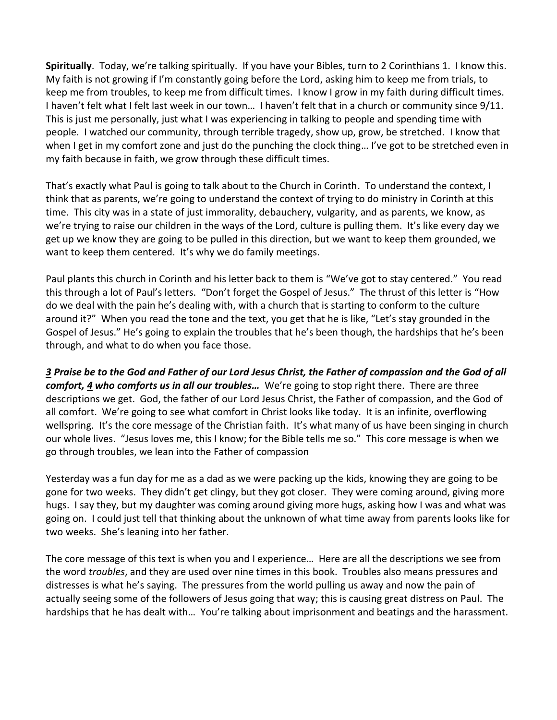**Spiritually**. Today, we're talking spiritually. If you have your Bibles, turn to 2 Corinthians 1. I know this. My faith is not growing if I'm constantly going before the Lord, asking him to keep me from trials, to keep me from troubles, to keep me from difficult times. I know I grow in my faith during difficult times. I haven't felt what I felt last week in our town… I haven't felt that in a church or community since 9/11. This is just me personally, just what I was experiencing in talking to people and spending time with people. I watched our community, through terrible tragedy, show up, grow, be stretched. I know that when I get in my comfort zone and just do the punching the clock thing… I've got to be stretched even in my faith because in faith, we grow through these difficult times.

That's exactly what Paul is going to talk about to the Church in Corinth. To understand the context, I think that as parents, we're going to understand the context of trying to do ministry in Corinth at this time. This city was in a state of just immorality, debauchery, vulgarity, and as parents, we know, as we're trying to raise our children in the ways of the Lord, culture is pulling them. It's like every day we get up we know they are going to be pulled in this direction, but we want to keep them grounded, we want to keep them centered. It's why we do family meetings.

Paul plants this church in Corinth and his letter back to them is "We've got to stay centered." You read this through a lot of Paul's letters. "Don't forget the Gospel of Jesus." The thrust of this letter is "How do we deal with the pain he's dealing with, with a church that is starting to conform to the culture around it?" When you read the tone and the text, you get that he is like, "Let's stay grounded in the Gospel of Jesus." He's going to explain the troubles that he's been though, the hardships that he's been through, and what to do when you face those.

*[3](https://www.studylight.org/desk/?q=2co%201:3&t1=en_niv&sr=1) Praise be to the God and Father of our Lord Jesus Christ, the Father of compassion and the God of all comfort, [4](https://www.studylight.org/desk/?q=2co%201:4&t1=en_niv&sr=1) who comforts us in all our troubles…* We're going to stop right there. There are three descriptions we get. God, the father of our Lord Jesus Christ, the Father of compassion, and the God of all comfort. We're going to see what comfort in Christ looks like today. It is an infinite, overflowing wellspring. It's the core message of the Christian faith. It's what many of us have been singing in church our whole lives. "Jesus loves me, this I know; for the Bible tells me so." This core message is when we go through troubles, we lean into the Father of compassion

Yesterday was a fun day for me as a dad as we were packing up the kids, knowing they are going to be gone for two weeks. They didn't get clingy, but they got closer. They were coming around, giving more hugs. I say they, but my daughter was coming around giving more hugs, asking how I was and what was going on. I could just tell that thinking about the unknown of what time away from parents looks like for two weeks. She's leaning into her father.

The core message of this text is when you and I experience… Here are all the descriptions we see from the word *troubles*, and they are used over nine times in this book. Troubles also means pressures and distresses is what he's saying. The pressures from the world pulling us away and now the pain of actually seeing some of the followers of Jesus going that way; this is causing great distress on Paul. The hardships that he has dealt with… You're talking about imprisonment and beatings and the harassment.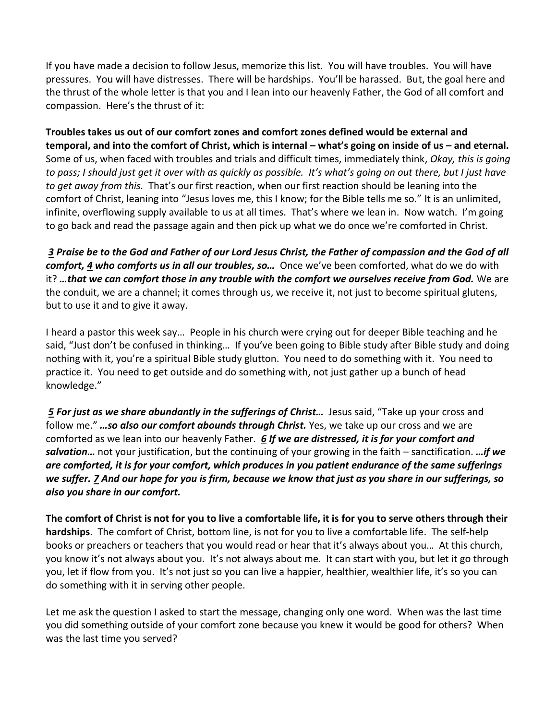If you have made a decision to follow Jesus, memorize this list. You will have troubles. You will have pressures. You will have distresses. There will be hardships. You'll be harassed. But, the goal here and the thrust of the whole letter is that you and I lean into our heavenly Father, the God of all comfort and compassion. Here's the thrust of it:

**Troubles takes us out of our comfort zones and comfort zones defined would be external and temporal, and into the comfort of Christ, which is internal – what's going on inside of us – and eternal.** Some of us, when faced with troubles and trials and difficult times, immediately think, *Okay, this is going to pass; I should just get it over with as quickly as possible. It's what's going on out there, but I just have to get away from this.* That's our first reaction, when our first reaction should be leaning into the comfort of Christ, leaning into "Jesus loves me, this I know; for the Bible tells me so." It is an unlimited, infinite, overflowing supply available to us at all times. That's where we lean in. Now watch. I'm going to go back and read the passage again and then pick up what we do once we're comforted in Christ.

 *[3](https://www.studylight.org/desk/?q=2co%201:3&t1=en_niv&sr=1) Praise be to the God and Father of our Lord Jesus Christ, the Father of compassion and the God of all comfort, [4](https://www.studylight.org/desk/?q=2co%201:4&t1=en_niv&sr=1) who comforts us in all our troubles, so…* Once we've been comforted, what do we do with it? *…that we can comfort those in any trouble with the comfort we ourselves receive from God.* We are the conduit, we are a channel; it comes through us, we receive it, not just to become spiritual glutens, but to use it and to give it away.

I heard a pastor this week say… People in his church were crying out for deeper Bible teaching and he said, "Just don't be confused in thinking… If you've been going to Bible study after Bible study and doing nothing with it, you're a spiritual Bible study glutton. You need to do something with it. You need to practice it. You need to get outside and do something with, not just gather up a bunch of head knowledge."

*5 For just as we share abundantly in the sufferings of Christ...* **Jesus said, "Take up your cross and**  $\overline{a}$ follow me." *…so also our comfort abounds through Christ.* Yes, we take up our cross and we are comforted as we lean into our heavenly Father. *[6](https://www.studylight.org/desk/?q=2co%201:6&t1=en_niv&sr=1) If we are distressed, it is for your comfort and salvation…* not your justification, but the continuing of your growing in the faith – sanctification. *…if we are comforted, it is for your comfort, which produces in you patient endurance of the same sufferings we suffer[. 7](https://www.studylight.org/desk/?q=2co%201:7&t1=en_niv&sr=1) And our hope for you is firm, because we know that just as you share in our sufferings, so also you share in our comfort.*

**The comfort of Christ is not for you to live a comfortable life, it is for you to serve others through their hardships**. The comfort of Christ, bottom line, is not for you to live a comfortable life. The self-help books or preachers or teachers that you would read or hear that it's always about you… At this church, you know it's not always about you. It's not always about me. It can start with you, but let it go through you, let if flow from you. It's not just so you can live a happier, healthier, wealthier life, it's so you can do something with it in serving other people.

Let me ask the question I asked to start the message, changing only one word. When was the last time you did something outside of your comfort zone because you knew it would be good for others? When was the last time you served?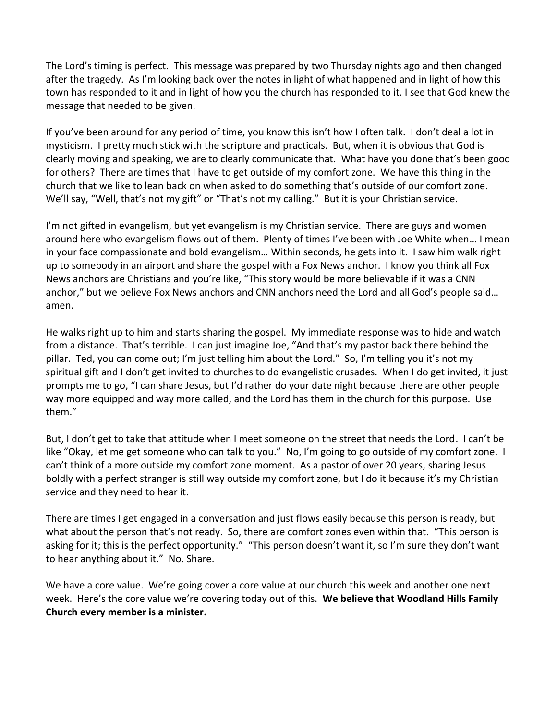The Lord's timing is perfect. This message was prepared by two Thursday nights ago and then changed after the tragedy. As I'm looking back over the notes in light of what happened and in light of how this town has responded to it and in light of how you the church has responded to it. I see that God knew the message that needed to be given.

If you've been around for any period of time, you know this isn't how I often talk. I don't deal a lot in mysticism. I pretty much stick with the scripture and practicals. But, when it is obvious that God is clearly moving and speaking, we are to clearly communicate that. What have you done that's been good for others? There are times that I have to get outside of my comfort zone. We have this thing in the church that we like to lean back on when asked to do something that's outside of our comfort zone. We'll say, "Well, that's not my gift" or "That's not my calling." But it is your Christian service.

I'm not gifted in evangelism, but yet evangelism is my Christian service. There are guys and women around here who evangelism flows out of them. Plenty of times I've been with Joe White when… I mean in your face compassionate and bold evangelism… Within seconds, he gets into it. I saw him walk right up to somebody in an airport and share the gospel with a Fox News anchor. I know you think all Fox News anchors are Christians and you're like, "This story would be more believable if it was a CNN anchor," but we believe Fox News anchors and CNN anchors need the Lord and all God's people said… amen.

He walks right up to him and starts sharing the gospel. My immediate response was to hide and watch from a distance. That's terrible. I can just imagine Joe, "And that's my pastor back there behind the pillar. Ted, you can come out; I'm just telling him about the Lord." So, I'm telling you it's not my spiritual gift and I don't get invited to churches to do evangelistic crusades. When I do get invited, it just prompts me to go, "I can share Jesus, but I'd rather do your date night because there are other people way more equipped and way more called, and the Lord has them in the church for this purpose. Use them."

But, I don't get to take that attitude when I meet someone on the street that needs the Lord. I can't be like "Okay, let me get someone who can talk to you." No, I'm going to go outside of my comfort zone. I can't think of a more outside my comfort zone moment. As a pastor of over 20 years, sharing Jesus boldly with a perfect stranger is still way outside my comfort zone, but I do it because it's my Christian service and they need to hear it.

There are times I get engaged in a conversation and just flows easily because this person is ready, but what about the person that's not ready. So, there are comfort zones even within that. "This person is asking for it; this is the perfect opportunity." "This person doesn't want it, so I'm sure they don't want to hear anything about it." No. Share.

We have a core value. We're going cover a core value at our church this week and another one next week. Here's the core value we're covering today out of this. **We believe that Woodland Hills Family Church every member is a minister.**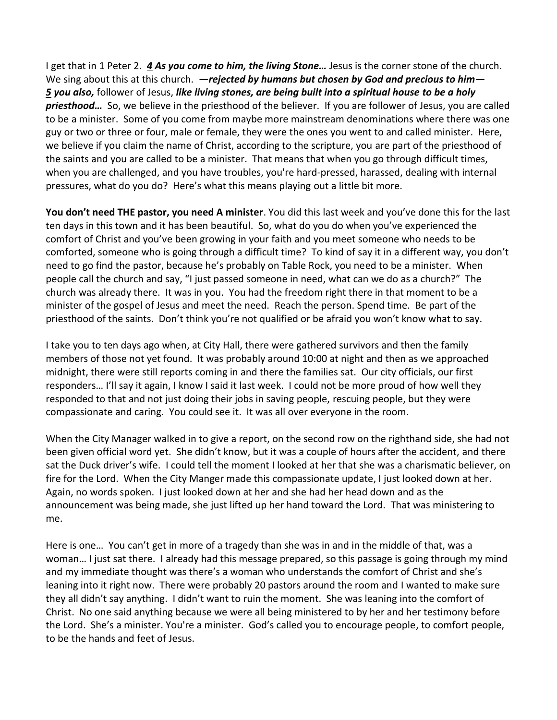I get that in 1 Peter 2. *[4](https://www.studylight.org/desk/?q=1pe%202:4&t1=en_niv&sr=1) As you come to him, the living Stone…* Jesus is the corner stone of the church. We sing about this at this church. *—rejected by humans but chosen by God and precious to him— [5](https://www.studylight.org/desk/?q=1pe%202:5&t1=en_niv&sr=1) you also,* follower of Jesus, *like living stones, are being built into a spiritual house to be a holy priesthood…* So, we believe in the priesthood of the believer. If you are follower of Jesus, you are called to be a minister. Some of you come from maybe more mainstream denominations where there was one guy or two or three or four, male or female, they were the ones you went to and called minister. Here, we believe if you claim the name of Christ, according to the scripture, you are part of the priesthood of the saints and you are called to be a minister. That means that when you go through difficult times, when you are challenged, and you have troubles, you're hard-pressed, harassed, dealing with internal pressures, what do you do? Here's what this means playing out a little bit more.

**You don't need THE pastor, you need A minister**. You did this last week and you've done this for the last ten days in this town and it has been beautiful. So, what do you do when you've experienced the comfort of Christ and you've been growing in your faith and you meet someone who needs to be comforted, someone who is going through a difficult time? To kind of say it in a different way, you don't need to go find the pastor, because he's probably on Table Rock, you need to be a minister. When people call the church and say, "I just passed someone in need, what can we do as a church?" The church was already there. It was in you. You had the freedom right there in that moment to be a minister of the gospel of Jesus and meet the need. Reach the person. Spend time. Be part of the priesthood of the saints. Don't think you're not qualified or be afraid you won't know what to say.

I take you to ten days ago when, at City Hall, there were gathered survivors and then the family members of those not yet found. It was probably around 10:00 at night and then as we approached midnight, there were still reports coming in and there the families sat. Our city officials, our first responders… I'll say it again, I know I said it last week. I could not be more proud of how well they responded to that and not just doing their jobs in saving people, rescuing people, but they were compassionate and caring. You could see it. It was all over everyone in the room.

When the City Manager walked in to give a report, on the second row on the righthand side, she had not been given official word yet. She didn't know, but it was a couple of hours after the accident, and there sat the Duck driver's wife. I could tell the moment I looked at her that she was a charismatic believer, on fire for the Lord. When the City Manger made this compassionate update, I just looked down at her. Again, no words spoken. I just looked down at her and she had her head down and as the announcement was being made, she just lifted up her hand toward the Lord. That was ministering to me.

Here is one… You can't get in more of a tragedy than she was in and in the middle of that, was a woman… I just sat there. I already had this message prepared, so this passage is going through my mind and my immediate thought was there's a woman who understands the comfort of Christ and she's leaning into it right now. There were probably 20 pastors around the room and I wanted to make sure they all didn't say anything. I didn't want to ruin the moment. She was leaning into the comfort of Christ. No one said anything because we were all being ministered to by her and her testimony before the Lord. She's a minister. You're a minister. God's called you to encourage people, to comfort people, to be the hands and feet of Jesus.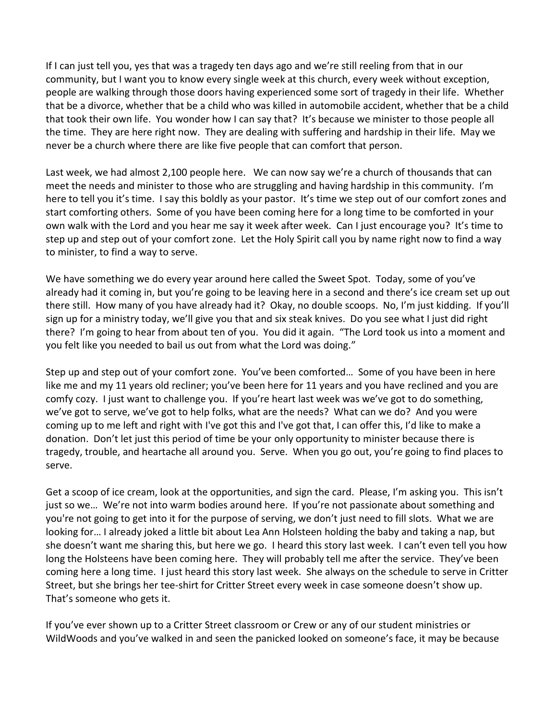If I can just tell you, yes that was a tragedy ten days ago and we're still reeling from that in our community, but I want you to know every single week at this church, every week without exception, people are walking through those doors having experienced some sort of tragedy in their life. Whether that be a divorce, whether that be a child who was killed in automobile accident, whether that be a child that took their own life. You wonder how I can say that? It's because we minister to those people all the time. They are here right now. They are dealing with suffering and hardship in their life. May we never be a church where there are like five people that can comfort that person.

Last week, we had almost 2,100 people here. We can now say we're a church of thousands that can meet the needs and minister to those who are struggling and having hardship in this community. I'm here to tell you it's time. I say this boldly as your pastor. It's time we step out of our comfort zones and start comforting others. Some of you have been coming here for a long time to be comforted in your own walk with the Lord and you hear me say it week after week. Can I just encourage you? It's time to step up and step out of your comfort zone. Let the Holy Spirit call you by name right now to find a way to minister, to find a way to serve.

We have something we do every year around here called the Sweet Spot. Today, some of you've already had it coming in, but you're going to be leaving here in a second and there's ice cream set up out there still. How many of you have already had it? Okay, no double scoops. No, I'm just kidding. If you'll sign up for a ministry today, we'll give you that and six steak knives. Do you see what I just did right there? I'm going to hear from about ten of you. You did it again. "The Lord took us into a moment and you felt like you needed to bail us out from what the Lord was doing."

Step up and step out of your comfort zone. You've been comforted… Some of you have been in here like me and my 11 years old recliner; you've been here for 11 years and you have reclined and you are comfy cozy. I just want to challenge you. If you're heart last week was we've got to do something, we've got to serve, we've got to help folks, what are the needs? What can we do? And you were coming up to me left and right with I've got this and I've got that, I can offer this, I'd like to make a donation. Don't let just this period of time be your only opportunity to minister because there is tragedy, trouble, and heartache all around you. Serve. When you go out, you're going to find places to serve.

Get a scoop of ice cream, look at the opportunities, and sign the card. Please, I'm asking you. This isn't just so we… We're not into warm bodies around here. If you're not passionate about something and you're not going to get into it for the purpose of serving, we don't just need to fill slots. What we are looking for… I already joked a little bit about Lea Ann Holsteen holding the baby and taking a nap, but she doesn't want me sharing this, but here we go. I heard this story last week. I can't even tell you how long the Holsteens have been coming here. They will probably tell me after the service. They've been coming here a long time. I just heard this story last week. She always on the schedule to serve in Critter Street, but she brings her tee-shirt for Critter Street every week in case someone doesn't show up. That's someone who gets it.

If you've ever shown up to a Critter Street classroom or Crew or any of our student ministries or WildWoods and you've walked in and seen the panicked looked on someone's face, it may be because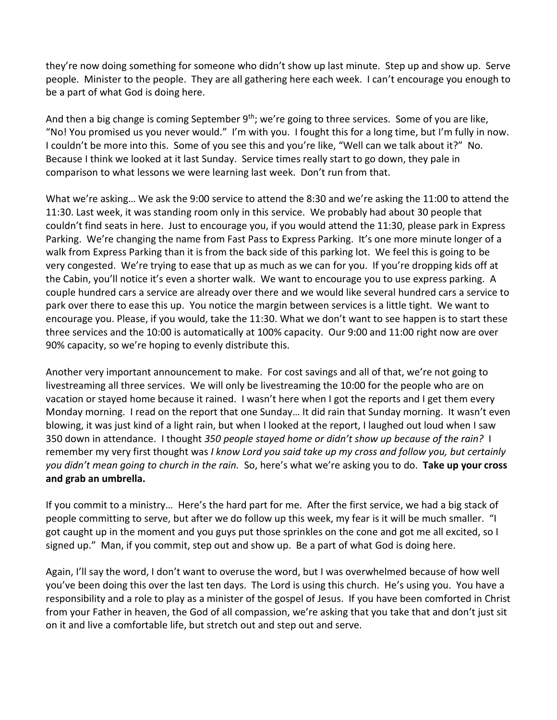they're now doing something for someone who didn't show up last minute. Step up and show up. Serve people. Minister to the people. They are all gathering here each week. I can't encourage you enough to be a part of what God is doing here.

And then a big change is coming September 9<sup>th</sup>; we're going to three services. Some of you are like, "No! You promised us you never would." I'm with you. I fought this for a long time, but I'm fully in now. I couldn't be more into this. Some of you see this and you're like, "Well can we talk about it?" No. Because I think we looked at it last Sunday. Service times really start to go down, they pale in comparison to what lessons we were learning last week. Don't run from that.

What we're asking… We ask the 9:00 service to attend the 8:30 and we're asking the 11:00 to attend the 11:30. Last week, it was standing room only in this service. We probably had about 30 people that couldn't find seats in here. Just to encourage you, if you would attend the 11:30, please park in Express Parking. We're changing the name from Fast Pass to Express Parking. It's one more minute longer of a walk from Express Parking than it is from the back side of this parking lot. We feel this is going to be very congested. We're trying to ease that up as much as we can for you. If you're dropping kids off at the Cabin, you'll notice it's even a shorter walk. We want to encourage you to use express parking. A couple hundred cars a service are already over there and we would like several hundred cars a service to park over there to ease this up. You notice the margin between services is a little tight. We want to encourage you. Please, if you would, take the 11:30. What we don't want to see happen is to start these three services and the 10:00 is automatically at 100% capacity. Our 9:00 and 11:00 right now are over 90% capacity, so we're hoping to evenly distribute this.

Another very important announcement to make. For cost savings and all of that, we're not going to livestreaming all three services. We will only be livestreaming the 10:00 for the people who are on vacation or stayed home because it rained. I wasn't here when I got the reports and I get them every Monday morning. I read on the report that one Sunday… It did rain that Sunday morning. It wasn't even blowing, it was just kind of a light rain, but when I looked at the report, I laughed out loud when I saw 350 down in attendance. I thought *350 people stayed home or didn't show up because of the rain?* I remember my very first thought was *I know Lord you said take up my cross and follow you, but certainly you didn't mean going to church in the rain.* So, here's what we're asking you to do. **Take up your cross and grab an umbrella.** 

If you commit to a ministry… Here's the hard part for me. After the first service, we had a big stack of people committing to serve, but after we do follow up this week, my fear is it will be much smaller. "I got caught up in the moment and you guys put those sprinkles on the cone and got me all excited, so I signed up." Man, if you commit, step out and show up. Be a part of what God is doing here.

Again, I'll say the word, I don't want to overuse the word, but I was overwhelmed because of how well you've been doing this over the last ten days. The Lord is using this church. He's using you. You have a responsibility and a role to play as a minister of the gospel of Jesus. If you have been comforted in Christ from your Father in heaven, the God of all compassion, we're asking that you take that and don't just sit on it and live a comfortable life, but stretch out and step out and serve.